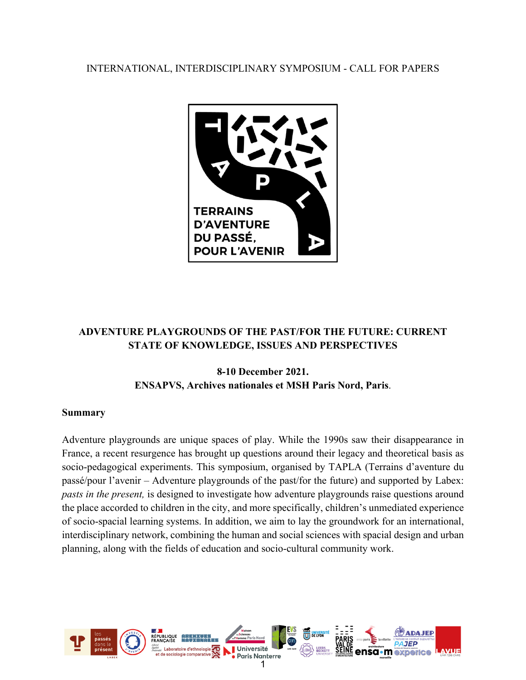INTERNATIONAL, INTERDISCIPLINARY SYMPOSIUM - CALL FOR PAPERS



# **ADVENTURE PLAYGROUNDS OF THE PAST/FOR THE FUTURE: CURRENT STATE OF KNOWLEDGE, ISSUES AND PERSPECTIVES**

# **8-10 December 2021. ENSAPVS, Archives nationales et MSH Paris Nord, Paris**.

## **Summary**

Adventure playgrounds are unique spaces of play. While the 1990s saw their disappearance in France, a recent resurgence has brought up questions around their legacy and theoretical basis as socio-pedagogical experiments. This symposium, organised by TAPLA (Terrains d'aventure du passé/pour l'avenir – Adventure playgrounds of the past/for the future) and supported by Labex: *pasts in the present,* is designed to investigate how adventure playgrounds raise questions around the place accorded to children in the city, and more specifically, children's unmediated experience of socio-spacial learning systems. In addition, we aim to lay the groundwork for an international, interdisciplinary network, combining the human and social sciences with spacial design and urban planning, along with the fields of education and socio-cultural community work.

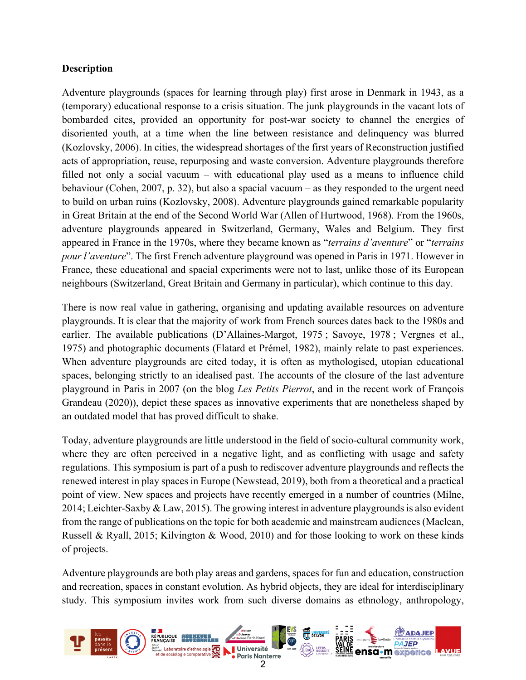## **Description**

Adventure playgrounds (spaces for learning through play) first arose in Denmark in 1943, as a (temporary) educational response to a crisis situation. The junk playgrounds in the vacant lots of bombarded cites, provided an opportunity for post-war society to channel the energies of disoriented youth, at a time when the line between resistance and delinquency was blurred (Kozlovsky, 2006). In cities, the widespread shortages of the first years of Reconstruction justified acts of appropriation, reuse, repurposing and waste conversion. Adventure playgrounds therefore filled not only a social vacuum – with educational play used as a means to influence child behaviour (Cohen, 2007, p. 32), but also a spacial vacuum – as they responded to the urgent need to build on urban ruins (Kozlovsky, 2008). Adventure playgrounds gained remarkable popularity in Great Britain at the end of the Second World War (Allen of Hurtwood, 1968). From the 1960s, adventure playgrounds appeared in Switzerland, Germany, Wales and Belgium. They first appeared in France in the 1970s, where they became known as "*terrains d'aventure*" or "*terrains pour l'aventure*". The first French adventure playground was opened in Paris in 1971. However in France, these educational and spacial experiments were not to last, unlike those of its European neighbours (Switzerland, Great Britain and Germany in particular), which continue to this day.

There is now real value in gathering, organising and updating available resources on adventure playgrounds. It is clear that the majority of work from French sources dates back to the 1980s and earlier. The available publications (D'Allaines-Margot, 1975 ; Savoye, 1978 ; Vergnes et al., 1975) and photographic documents (Flatard et Prémel, 1982), mainly relate to past experiences. When adventure playgrounds are cited today, it is often as mythologised, utopian educational spaces, belonging strictly to an idealised past. The accounts of the closure of the last adventure playground in Paris in 2007 (on the blog *Les Petits Pierrot*, and in the recent work of François Grandeau (2020)), depict these spaces as innovative experiments that are nonetheless shaped by an outdated model that has proved difficult to shake.

Today, adventure playgrounds are little understood in the field of socio-cultural community work, where they are often perceived in a negative light, and as conflicting with usage and safety regulations. This symposium is part of a push to rediscover adventure playgrounds and reflects the renewed interest in play spaces in Europe (Newstead, 2019), both from a theoretical and a practical point of view. New spaces and projects have recently emerged in a number of countries (Milne, 2014; Leichter-Saxby & Law, 2015). The growing interest in adventure playgrounds is also evident from the range of publications on the topic for both academic and mainstream audiences (Maclean, Russell & Ryall, 2015; Kilvington & Wood, 2010) and for those looking to work on these kinds of projects.

Adventure playgrounds are both play areas and gardens, spaces for fun and education, construction and recreation, spaces in constant evolution. As hybrid objects, they are ideal for interdisciplinary study. This symposium invites work from such diverse domains as ethnology, anthropology,

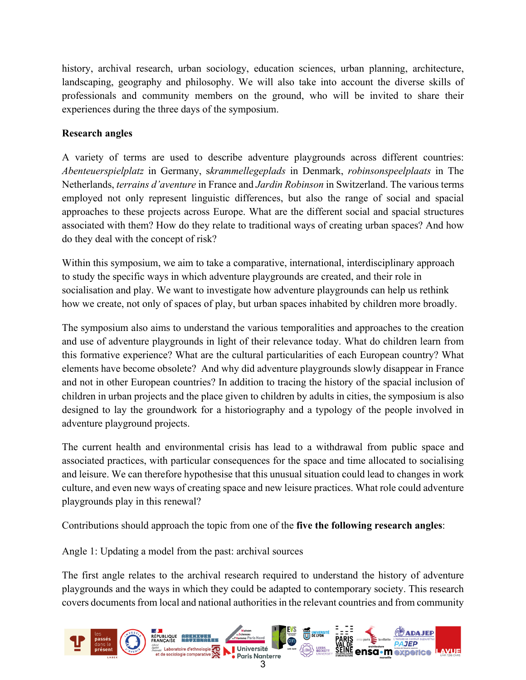history, archival research, urban sociology, education sciences, urban planning, architecture, landscaping, geography and philosophy. We will also take into account the diverse skills of professionals and community members on the ground, who will be invited to share their experiences during the three days of the symposium.

## **Research angles**

A variety of terms are used to describe adventure playgrounds across different countries: *Abenteuerspielplatz* in Germany, s*krammellegeplads* in Denmark, *robinsonspeelplaats* in The Netherlands, *terrains d'aventure* in France and *Jardin Robinson* in Switzerland. The various terms employed not only represent linguistic differences, but also the range of social and spacial approaches to these projects across Europe. What are the different social and spacial structures associated with them? How do they relate to traditional ways of creating urban spaces? And how do they deal with the concept of risk?

Within this symposium, we aim to take a comparative, international, interdisciplinary approach to study the specific ways in which adventure playgrounds are created, and their role in socialisation and play. We want to investigate how adventure playgrounds can help us rethink how we create, not only of spaces of play, but urban spaces inhabited by children more broadly.

The symposium also aims to understand the various temporalities and approaches to the creation and use of adventure playgrounds in light of their relevance today. What do children learn from this formative experience? What are the cultural particularities of each European country? What elements have become obsolete? And why did adventure playgrounds slowly disappear in France and not in other European countries? In addition to tracing the history of the spacial inclusion of children in urban projects and the place given to children by adults in cities, the symposium is also designed to lay the groundwork for a historiography and a typology of the people involved in adventure playground projects.

The current health and environmental crisis has lead to a withdrawal from public space and associated practices, with particular consequences for the space and time allocated to socialising and leisure. We can therefore hypothesise that this unusual situation could lead to changes in work culture, and even new ways of creating space and new leisure practices. What role could adventure playgrounds play in this renewal?

Contributions should approach the topic from one of the **five the following research angles**:

Angle 1: Updating a model from the past: archival sources

The first angle relates to the archival research required to understand the history of adventure playgrounds and the ways in which they could be adapted to contemporary society. This research covers documents from local and national authorities in the relevant countries and from community

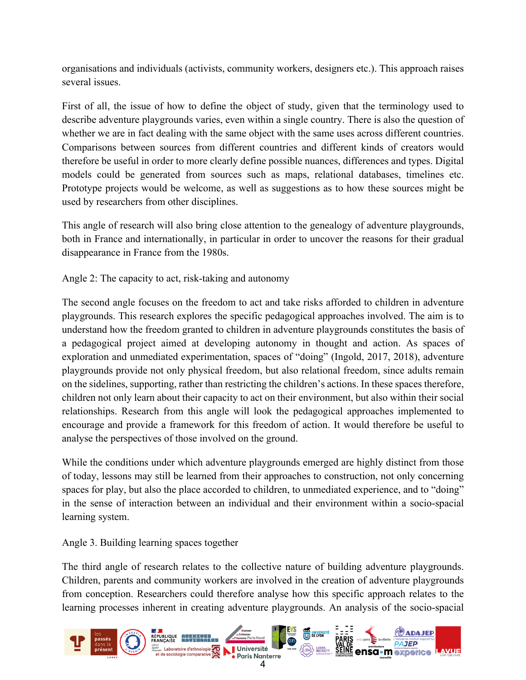organisations and individuals (activists, community workers, designers etc.). This approach raises several issues.

First of all, the issue of how to define the object of study, given that the terminology used to describe adventure playgrounds varies, even within a single country. There is also the question of whether we are in fact dealing with the same object with the same uses across different countries. Comparisons between sources from different countries and different kinds of creators would therefore be useful in order to more clearly define possible nuances, differences and types. Digital models could be generated from sources such as maps, relational databases, timelines etc. Prototype projects would be welcome, as well as suggestions as to how these sources might be used by researchers from other disciplines.

This angle of research will also bring close attention to the genealogy of adventure playgrounds, both in France and internationally, in particular in order to uncover the reasons for their gradual disappearance in France from the 1980s.

Angle 2: The capacity to act, risk-taking and autonomy

The second angle focuses on the freedom to act and take risks afforded to children in adventure playgrounds. This research explores the specific pedagogical approaches involved. The aim is to understand how the freedom granted to children in adventure playgrounds constitutes the basis of a pedagogical project aimed at developing autonomy in thought and action. As spaces of exploration and unmediated experimentation, spaces of "doing" (Ingold, 2017, 2018), adventure playgrounds provide not only physical freedom, but also relational freedom, since adults remain on the sidelines, supporting, rather than restricting the children's actions. In these spaces therefore, children not only learn about their capacity to act on their environment, but also within their social relationships. Research from this angle will look the pedagogical approaches implemented to encourage and provide a framework for this freedom of action. It would therefore be useful to analyse the perspectives of those involved on the ground.

While the conditions under which adventure playgrounds emerged are highly distinct from those of today, lessons may still be learned from their approaches to construction, not only concerning spaces for play, but also the place accorded to children, to unmediated experience, and to "doing" in the sense of interaction between an individual and their environment within a socio-spacial learning system.

Angle 3. Building learning spaces together

The third angle of research relates to the collective nature of building adventure playgrounds. Children, parents and community workers are involved in the creation of adventure playgrounds from conception. Researchers could therefore analyse how this specific approach relates to the learning processes inherent in creating adventure playgrounds. An analysis of the socio-spacial

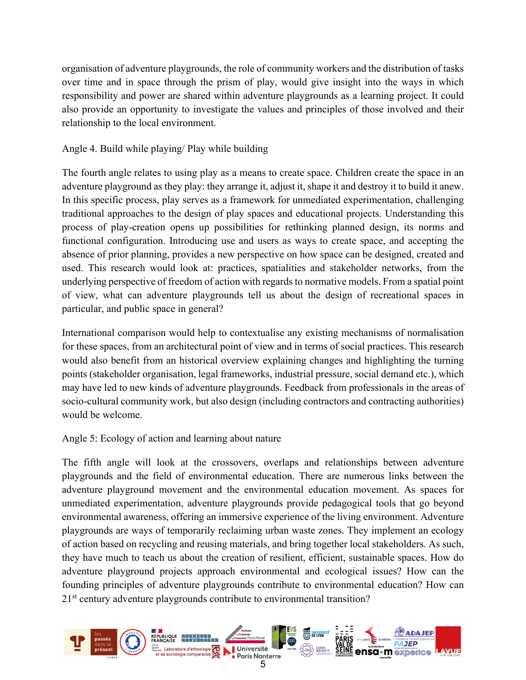organisation of adventure playgrounds, the role of community workers and the distribution of tasks over time and in space through the prism of play, would give insight into the ways in which responsibility and power are shared within adventure playgrounds as a learning project. It could also provide an opportunity to investigate the values and principles of those involved and their relationship to the local environment.

## Angle 4. Build while playing/ Play while building

The fourth angle relates to using play as a means to create space. Children create the space in an adventure playground as they play: they arrange it, adjust it, shape it and destroy it to build it anew. In this specific process, play serves as a framework for unmediated experimentation, challenging traditional approaches to the design of play spaces and educational projects. Understanding this process of play-creation opens up possibilities for rethinking planned design, its norms and functional configuration. Introducing use and users as ways to create space, and accepting the absence of prior planning, provides a new perspective on how space can be designed, created and used. This research would look at: practices, spatialities and stakeholder networks, from the underlying perspective of freedom of action with regards to normative models. From a spatial point of view, what can adventure playgrounds tell us about the design of recreational spaces in particular, and public space in general?

International comparison would help to contextualise any existing mechanisms of normalisation for these spaces, from an architectural point of view and in terms of social practices. This research would also benefit from an historical overview explaining changes and highlighting the turning points (stakeholder organisation, legal frameworks, industrial pressure, social demand etc.), which may have led to new kinds of adventure playgrounds. Feedback from professionals in the areas of socio-cultural community work, but also design (including contractors and contracting authorities) would be welcome.

## Angle 5: Ecology of action and learning about nature

The fifth angle will look at the crossovers, overlaps and relationships between adventure playgrounds and the field of environmental education. There are numerous links between the adventure playground movement and the environmental education movement. As spaces for unmediated experimentation, adventure playgrounds provide pedagogical tools that go beyond environmental awareness, offering an immersive experience of the living environment. Adventure playgrounds are ways of temporarily reclaiming urban waste zones. They implement an ecology of action based on recycling and reusing materials, and bring together local stakeholders. As such, they have much to teach us about the creation of resilient, efficient, sustainable spaces. How do adventure playground projects approach environmental and ecological issues? How can the founding principles of adventure playgrounds contribute to environmental education? How can 21<sup>st</sup> century adventure playgrounds contribute to environmental transition?

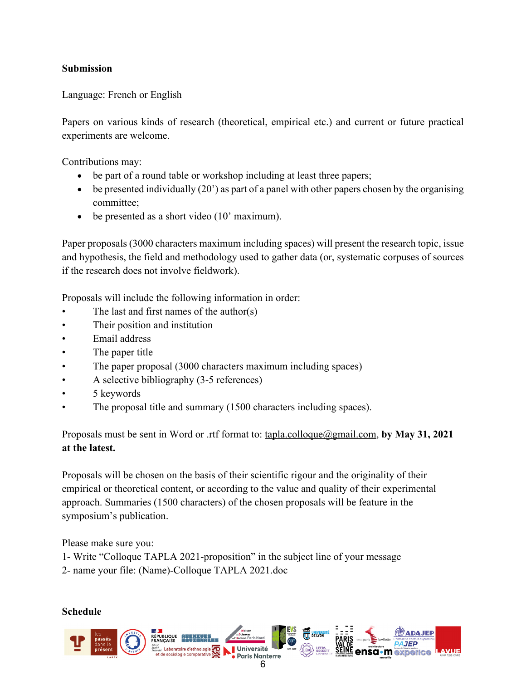## **Submission**

Language: French or English

Papers on various kinds of research (theoretical, empirical etc.) and current or future practical experiments are welcome.

Contributions may:

- be part of a round table or workshop including at least three papers;
- be presented individually (20') as part of a panel with other papers chosen by the organising committee;
- be presented as a short video (10' maximum).

Paper proposals (3000 characters maximum including spaces) will present the research topic, issue and hypothesis, the field and methodology used to gather data (or, systematic corpuses of sources if the research does not involve fieldwork).

Proposals will include the following information in order:

- The last and first names of the author(s)
- Their position and institution
- Email address
- The paper title
- The paper proposal (3000 characters maximum including spaces)
- A selective bibliography (3-5 references)
- 5 keywords
- The proposal title and summary (1500 characters including spaces).

Proposals must be sent in Word or .rtf format to: tapla.colloque@gmail.com, **by May 31, 2021 at the latest.** 

Proposals will be chosen on the basis of their scientific rigour and the originality of their empirical or theoretical content, or according to the value and quality of their experimental approach. Summaries (1500 characters) of the chosen proposals will be feature in the symposium's publication.

Please make sure you:

1- Write "Colloque TAPLA 2021-proposition" in the subject line of your message

2- name your file: (Name)-Colloque TAPLA 2021.doc

**Schedule** 

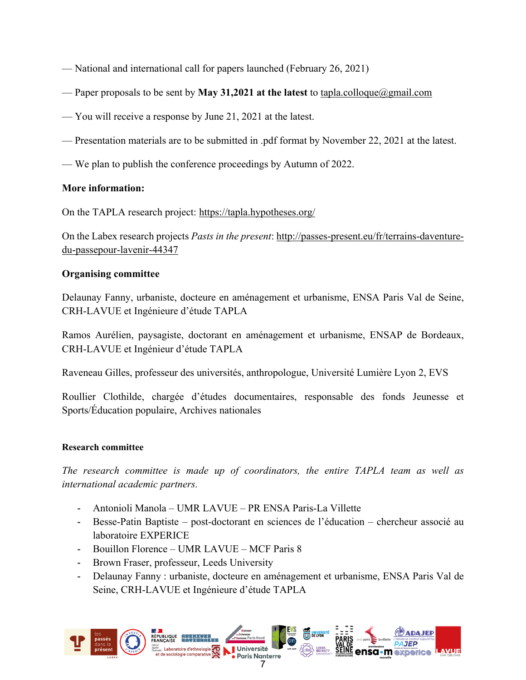- National and international call for papers launched (February 26, 2021)
- Paper proposals to be sent by **May 31,2021 at the latest** to tapla.colloque@gmail.com
- You will receive a response by June 21, 2021 at the latest.
- Presentation materials are to be submitted in .pdf format by November 22, 2021 at the latest.
- We plan to publish the conference proceedings by Autumn of 2022.

## **More information:**

On the TAPLA research project: https://tapla.hypotheses.org/

On the Labex research projects *Pasts in the present*: http://passes-present.eu/fr/terrains-daventuredu-passepour-lavenir-44347

## **Organising committee**

Delaunay Fanny, urbaniste, docteure en aménagement et urbanisme, ENSA Paris Val de Seine, CRH-LAVUE et Ingénieure d'étude TAPLA

Ramos Aurélien, paysagiste, doctorant en aménagement et urbanisme, ENSAP de Bordeaux, CRH-LAVUE et Ingénieur d'étude TAPLA

Raveneau Gilles, professeur des universités, anthropologue, Université Lumière Lyon 2, EVS

Roullier Clothilde, chargée d'études documentaires, responsable des fonds Jeunesse et Sports/Éducation populaire, Archives nationales

#### **Research committee**

*The research committee is made up of coordinators, the entire TAPLA team as well as international academic partners.* 

- Antonioli Manola UMR LAVUE PR ENSA Paris-La Villette
- Besse-Patin Baptiste post-doctorant en sciences de l'éducation chercheur associé au laboratoire EXPERICE
- Bouillon Florence UMR LAVUE MCF Paris 8
- Brown Fraser, professeur, Leeds University
- Delaunay Fanny : urbaniste, docteure en aménagement et urbanisme, ENSA Paris Val de Seine, CRH-LAVUE et Ingénieure d'étude TAPLA

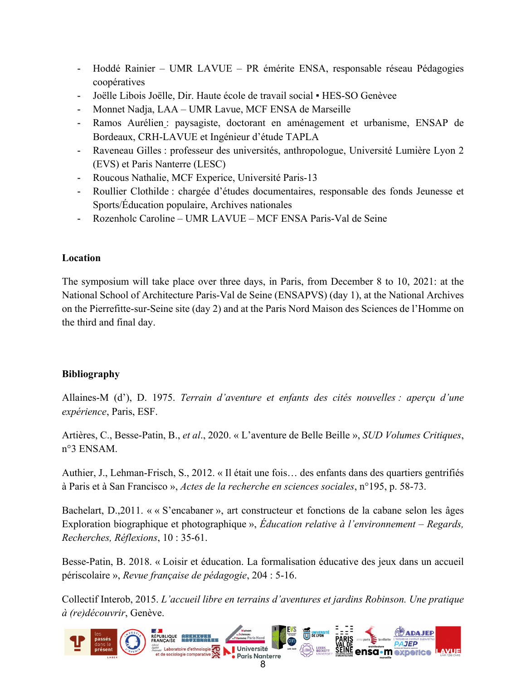- Hoddé Rainier UMR LAVUE PR émérite ENSA, responsable réseau Pédagogies coopératives
- Joëlle Libois Joëlle, Dir. Haute école de travail social HES-SO Genèvee
- Monnet Nadja, LAA UMR Lavue, MCF ENSA de Marseille
- Ramos Aurélien : paysagiste, doctorant en aménagement et urbanisme, ENSAP de Bordeaux, CRH-LAVUE et Ingénieur d'étude TAPLA
- Raveneau Gilles : professeur des universités, anthropologue, Université Lumière Lyon 2 (EVS) et Paris Nanterre (LESC)
- Roucous Nathalie, MCF Experice, Université Paris-13
- Roullier Clothilde : chargée d'études documentaires, responsable des fonds Jeunesse et Sports/Éducation populaire, Archives nationales
- Rozenholc Caroline UMR LAVUE MCF ENSA Paris-Val de Seine

# **Location**

The symposium will take place over three days, in Paris, from December 8 to 10, 2021: at the National School of Architecture Paris-Val de Seine (ENSAPVS) (day 1), at the National Archives on the Pierrefitte-sur-Seine site (day 2) and at the Paris Nord Maison des Sciences de l'Homme on the third and final day.

# **Bibliography**

Allaines-M (d'), D. 1975. *Terrain d'aventure et enfants des cités nouvelles : aperçu d'une expérience*, Paris, ESF.

Artières, C., Besse-Patin, B., *et al*., 2020. « L'aventure de Belle Beille », *SUD Volumes Critiques*, n°3 ENSAM.

Authier, J., Lehman-Frisch, S., 2012. « Il était une fois… des enfants dans des quartiers gentrifiés à Paris et à San Francisco », *Actes de la recherche en sciences sociales*, n°195, p. 58-73.

Bachelart, D.,2011. « « S'encabaner », art constructeur et fonctions de la cabane selon les âges Exploration biographique et photographique », *Éducation relative à l'environnement – Regards, Recherches, Réflexions*, 10 : 35-61.

Besse-Patin, B. 2018. « Loisir et éducation. La formalisation éducative des jeux dans un accueil périscolaire », *Revue française de pédagogie*, 204 : 5-16.

Collectif Interob, 2015. *L'accueil libre en terrains d'aventures et jardins Robinson. Une pratique à (re)découvrir*, Genève.

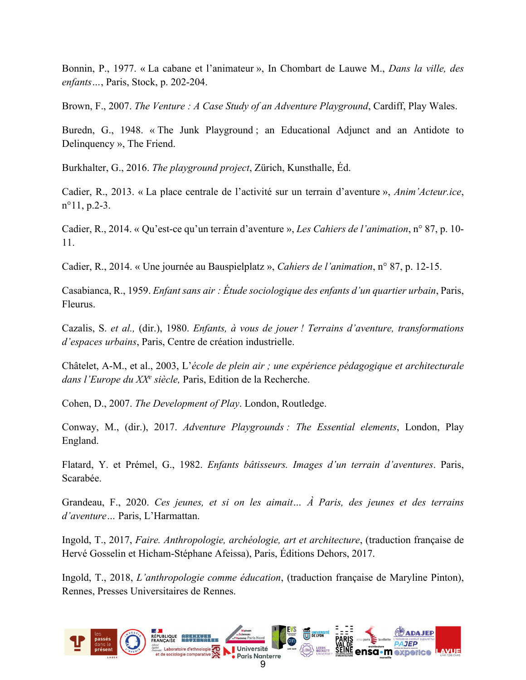Bonnin, P., 1977. « La cabane et l'animateur », In Chombart de Lauwe M., *Dans la ville, des enfants…*, Paris, Stock, p. 202-204.

Brown, F., 2007. *The Venture : A Case Study of an Adventure Playground*, Cardiff, Play Wales.

Buredn, G., 1948. « The Junk Playground ; an Educational Adjunct and an Antidote to Delinquency », The Friend.

Burkhalter, G., 2016. *The playground project*, Zürich, Kunsthalle, Éd.

Cadier, R., 2013. « La place centrale de l'activité sur un terrain d'aventure », *Anim'Acteur.ice*, n°11, p.2-3.

Cadier, R., 2014. « Qu'est-ce qu'un terrain d'aventure », *Les Cahiers de l'animation*, n° 87, p. 10- 11.

Cadier, R., 2014. « Une journée au Bauspielplatz », *Cahiers de l'animation*, n° 87, p. 12-15.

Casabianca, R., 1959. *Enfant sans air : Étude sociologique des enfants d'un quartier urbain*, Paris, Fleurus.

Cazalis, S. *et al.,* (dir.), 1980. *Enfants, à vous de jouer ! Terrains d'aventure, transformations d'espaces urbains*, Paris, Centre de création industrielle.

Châtelet, A-M., et al., 2003, L'*école de plein air ; une expérience pédagogique et architecturale dans l'Europe du XXe siècle,* Paris, Edition de la Recherche.

Cohen, D., 2007. *The Development of Play*. London, Routledge.

Conway, M., (dir.), 2017. *Adventure Playgrounds : The Essential elements*, London, Play England.

Flatard, Y. et Prémel, G., 1982. *Enfants bâtisseurs. Images d'un terrain d'aventures*. Paris, Scarabée.

Grandeau, F., 2020. *Ces jeunes, et si on les aimait… À Paris, des jeunes et des terrains d'aventure…* Paris, L'Harmattan.

Ingold, T., 2017, *Faire. Anthropologie, archéologie, art et architecture*, (traduction française de Hervé Gosselin et Hicham-Stéphane Afeissa), Paris, Éditions Dehors, 2017.

Ingold, T., 2018, *L'anthropologie comme éducation*, (traduction française de Maryline Pinton), Rennes, Presses Universitaires de Rennes.